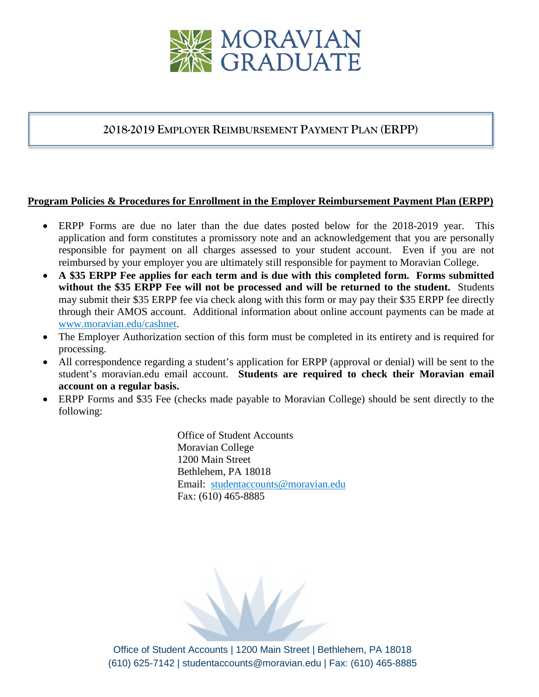

## **2018-2019 EMPLOYER REIMBURSEMENT PAYMENT PLAN (ERPP)**

## **Program Policies & Procedures for Enrollment in the Employer Reimbursement Payment Plan (ERPP)**

- ERPP Forms are due no later than the due dates posted below for the 2018-2019 year. This application and form constitutes a promissory note and an acknowledgement that you are personally responsible for payment on all charges assessed to your student account. Even if you are not reimbursed by your employer you are ultimately still responsible for payment to Moravian College.
- **A \$35 ERPP Fee applies for each term and is due with this completed form. Forms submitted without the \$35 ERPP Fee will not be processed and will be returned to the student.** Students may submit their \$35 ERPP fee via check along with this form or may pay their \$35 ERPP fee directly through their AMOS account. Additional information about online account payments can be made at [www.moravian.edu/cashnet.](http://www.moravian.edu/cashnet)
- The Employer Authorization section of this form must be completed in its entirety and is required for processing.
- All correspondence regarding a student's application for ERPP (approval or denial) will be sent to the student's moravian.edu email account. **Students are required to check their Moravian email account on a regular basis.**
- ERPP Forms and \$35 Fee (checks made payable to Moravian College) should be sent directly to the following:

Office of Student Accounts Moravian College 1200 Main Street Bethlehem, PA 18018 Email: [studentaccounts@moravian.edu](mailto:studentaccounts@moravian.edu) Fax: (610) 465-8885

Office of Student Accounts | 1200 Main Street | Bethlehem, PA 18018 (610) 625-7142 | studentaccounts@moravian.edu | Fax: (610) 465-8885